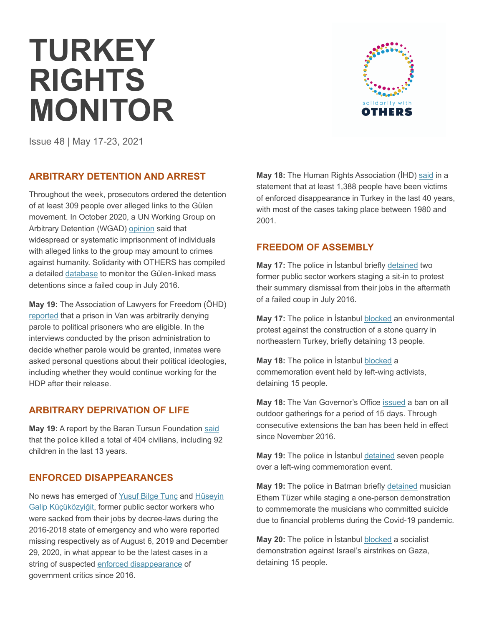# **TURKEY RIGHTS MONITOR**



Issue 48 | May 17-23, 2021

## **ARBITRARY DETENTION AND ARREST**

Throughout the week, prosecutors ordered the detention of at least 309 people over alleged links to the Gülen movement. In October 2020, a UN Working Group on Arbitrary Detention (WGAD) opinion said that widespread or systematic imprisonment of individuals with alleged links to the group may amount to crimes against humanity. Solidarity with OTHERS has compiled a detailed database to monitor the Gülen-linked mass detentions since a failed coup in July 2016.

**May 19:** The Association of Lawyers for Freedom (ÖHD) reported that a prison in Van was arbitrarily denying parole to political prisoners who are eligible. In the interviews conducted by the prison administration to decide whether parole would be granted, inmates were asked personal questions about their political ideologies, including whether they would continue working for the HDP after their release.

#### **ARBITRARY DEPRIVATION OF LIFE**

**May 19:** A report by the Baran Tursun Foundation said that the police killed a total of 404 civilians, including 92 children in the last 13 years.

# **ENFORCED DISAPPEARANCES**

No news has emerged of Yusuf Bilge Tunç and Hüseyin Galip Küçüközyiğit, former public sector workers who were sacked from their jobs by decree-laws during the 2016-2018 state of emergency and who were reported missing respectively as of August 6, 2019 and December 29, 2020, in what appear to be the latest cases in a string of suspected enforced disappearance of government critics since 2016.

**May 18:** The Human Rights Association (İHD) said in a statement that at least 1,388 people have been victims of enforced disappearance in Turkey in the last 40 years, with most of the cases taking place between 1980 and 2001.

## **FREEDOM OF ASSEMBLY**

**May 17:** The police in İstanbul briefly detained two former public sector workers staging a sit-in to protest their summary dismissal from their jobs in the aftermath of a failed coup in July 2016.

**May 17:** The police in İstanbul blocked an environmental protest against the construction of a stone quarry in northeastern Turkey, briefly detaining 13 people.

May 18: The police in *İstanbul* blocked a commemoration event held by left-wing activists, detaining 15 people.

**May 18:** The Van Governor's Office issued a ban on all outdoor gatherings for a period of 15 days. Through consecutive extensions the ban has been held in effect since November 2016.

**May 19:** The police in İstanbul detained seven people over a left-wing commemoration event.

**May 19:** The police in Batman briefly detained musician Ethem Tüzer while staging a one-person demonstration to commemorate the musicians who committed suicide due to financial problems during the Covid-19 pandemic.

**May 20:** The police in İstanbul blocked a socialist demonstration against Israel's airstrikes on Gaza, detaining 15 people.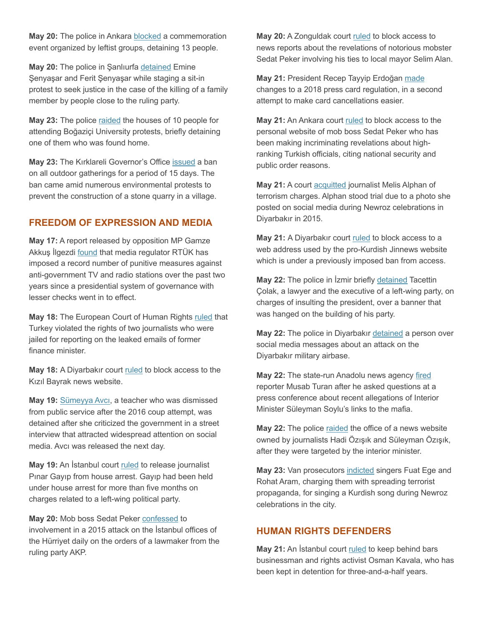**May 20:** The police in Ankara blocked a commemoration event organized by leftist groups, detaining 13 people.

**May 20:** The police in Şanlıurfa detained Emine Şenyaşar and Ferit Şenyaşar while staging a sit-in protest to seek justice in the case of the killing of a family member by people close to the ruling party.

**May 23:** The police raided the houses of 10 people for attending Boğaziçi University protests, briefly detaining one of them who was found home.

**May 23:** The Kırklareli Governor's Office issued a ban on all outdoor gatherings for a period of 15 days. The ban came amid numerous environmental protests to prevent the construction of a stone quarry in a village.

## **FREEDOM OF EXPRESSION AND MEDIA**

**May 17:** A report released by opposition MP Gamze Akkuş İlgezdi found that media regulator RTÜK has imposed a record number of punitive measures against anti-government TV and radio stations over the past two years since a presidential system of governance with lesser checks went in to effect.

May 18: The European Court of Human Rights ruled that Turkey violated the rights of two journalists who were jailed for reporting on the leaked emails of former finance minister.

**May 18:** A Diyarbakır court ruled to block access to the Kızıl Bayrak news website.

**May 19:** Sümeyya Avcı, a teacher who was dismissed from public service after the 2016 coup attempt, was detained after she criticized the government in a street interview that attracted widespread attention on social media. Avcı was released the next day.

**May 19:** An İstanbul court ruled to release journalist Pınar Gayıp from house arrest. Gayıp had been held under house arrest for more than five months on charges related to a left-wing political party.

**May 20:** Mob boss Sedat Peker confessed to involvement in a 2015 attack on the İstanbul offices of the Hürriyet daily on the orders of a lawmaker from the ruling party AKP.

**May 20:** A Zonguldak court ruled to block access to news reports about the revelations of notorious mobster Sedat Peker involving his ties to local mayor Selim Alan.

**May 21:** President Recep Tayyip Erdoğan made changes to a 2018 press card regulation, in a second attempt to make card cancellations easier.

**May 21:** An Ankara court ruled to block access to the personal website of mob boss Sedat Peker who has been making incriminating revelations about highranking Turkish officials, citing national security and public order reasons.

**May 21:** A court acquitted journalist Melis Alphan of terrorism charges. Alphan stood trial due to a photo she posted on social media during Newroz celebrations in Diyarbakır in 2015.

May 21: A Diyarbakır court ruled to block access to a web address used by the pro-Kurdish Jinnews website which is under a previously imposed ban from access.

**May 22:** The police in İzmir briefly detained Tacettin Çolak, a lawyer and the executive of a left-wing party, on charges of insulting the president, over a banner that was hanged on the building of his party.

**May 22:** The police in Diyarbakır detained a person over social media messages about an attack on the Diyarbakır military airbase.

**May 22:** The state-run Anadolu news agency fired reporter Musab Turan after he asked questions at a press conference about recent allegations of Interior Minister Süleyman Soylu's links to the mafia.

May 22: The police raided the office of a news website owned by journalists Hadi Özışık and Süleyman Özışık, after they were targeted by the interior minister.

**May 23:** Van prosecutors indicted singers Fuat Ege and Rohat Aram, charging them with spreading terrorist propaganda, for singing a Kurdish song during Newroz celebrations in the city.

# **HUMAN RIGHTS DEFENDERS**

**May 21:** An İstanbul court ruled to keep behind bars businessman and rights activist Osman Kavala, who has been kept in detention for three-and-a-half years.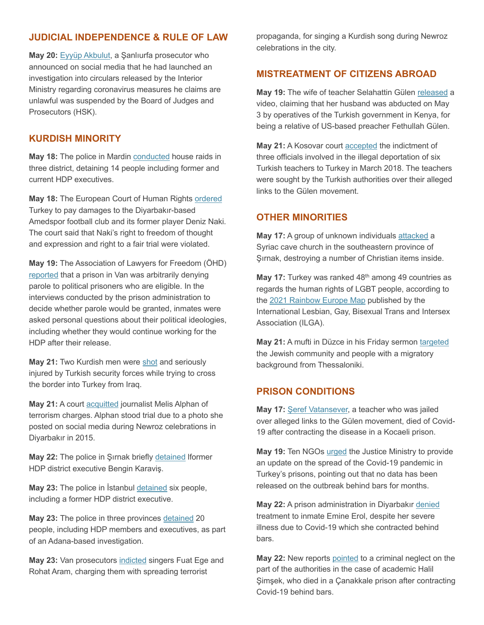## **JUDICIAL INDEPENDENCE & RULE OF LAW**

**May 20:** Eyyüp Akbulut, a Şanlıurfa prosecutor who announced on social media that he had launched an investigation into circulars released by the Interior Ministry regarding coronavirus measures he claims are unlawful was suspended by the Board of Judges and Prosecutors (HSK).

#### **KURDISH MINORITY**

**May 18:** The police in Mardin conducted house raids in three district, detaining 14 people including former and current HDP executives.

**May 18:** The European Court of Human Rights ordered Turkey to pay damages to the Diyarbakır-based Amedspor football club and its former player Deniz Naki. The court said that Naki's right to freedom of thought and expression and right to a fair trial were violated.

**May 19:** The Association of Lawyers for Freedom (ÖHD) reported that a prison in Van was arbitrarily denying parole to political prisoners who are eligible. In the interviews conducted by the prison administration to decide whether parole would be granted, inmates were asked personal questions about their political ideologies, including whether they would continue working for the HDP after their release.

**May 21:** Two Kurdish men were shot and seriously injured by Turkish security forces while trying to cross the border into Turkey from Iraq.

May 21: A court **acquitted** journalist Melis Alphan of terrorism charges. Alphan stood trial due to a photo she posted on social media during Newroz celebrations in Diyarbakır in 2015.

**May 22:** The police in Şırnak briefly detained lformer HDP district executive Bengin Karaviş.

**May 23:** The police in İstanbul detained six people, including a former HDP district executive.

**May 23:** The police in three provinces detained 20 people, including HDP members and executives, as part of an Adana-based investigation.

**May 23:** Van prosecutors indicted singers Fuat Ege and Rohat Aram, charging them with spreading terrorist

propaganda, for singing a Kurdish song during Newroz celebrations in the city.

## **MISTREATMENT OF CITIZENS ABROAD**

**May 19:** The wife of teacher Selahattin Gülen released a video, claiming that her husband was abducted on May 3 by operatives of the Turkish government in Kenya, for being a relative of US-based preacher Fethullah Gülen.

**May 21:** A Kosovar court accepted the indictment of three officials involved in the illegal deportation of six Turkish teachers to Turkey in March 2018. The teachers were sought by the Turkish authorities over their alleged links to the Gülen movement.

#### **OTHER MINORITIES**

**May 17:** A group of unknown individuals attacked a Syriac cave church in the southeastern province of Şırnak, destroying a number of Christian items inside.

May 17: Turkey was ranked 48<sup>th</sup> among 49 countries as regards the human rights of LGBT people, according to the 2021 Rainbow Europe Map published by the International Lesbian, Gay, Bisexual Trans and Intersex Association (ILGA).

**May 21:** A mufti in Düzce in his Friday sermon targeted the Jewish community and people with a migratory background from Thessaloniki.

#### **PRISON CONDITIONS**

**May 17:** Şeref Vatansever, a teacher who was jailed over alleged links to the Gülen movement, died of Covid-19 after contracting the disease in a Kocaeli prison.

**May 19:** Ten NGOs urged the Justice Ministry to provide an update on the spread of the Covid-19 pandemic in Turkey's prisons, pointing out that no data has been released on the outbreak behind bars for months.

**May 22:** A prison administration in Diyarbakır denied treatment to inmate Emine Erol, despite her severe illness due to Covid-19 which she contracted behind bars.

**May 22:** New reports pointed to a criminal neglect on the part of the authorities in the case of academic Halil Şimşek, who died in a Çanakkale prison after contracting Covid-19 behind bars.